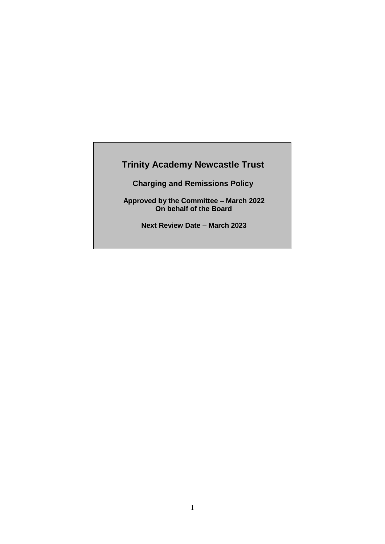# **Trinity Academy Newcastle Trust**

**Charging and Remissions Policy**

**Approved by the Committee – March 2022 On behalf of the Board**

**Next Review Date – March 2023**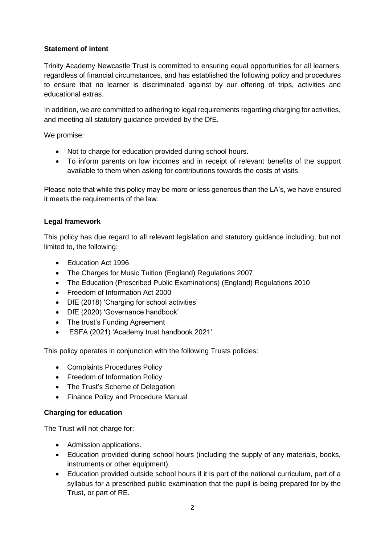#### **Statement of intent**

Trinity Academy Newcastle Trust is committed to ensuring equal opportunities for all learners, regardless of financial circumstances, and has established the following policy and procedures to ensure that no learner is discriminated against by our offering of trips, activities and educational extras.

In addition, we are committed to adhering to legal requirements regarding charging for activities, and meeting all statutory guidance provided by the DfE.

We promise:

- Not to charge for education provided during school hours.
- To inform parents on low incomes and in receipt of relevant benefits of the support available to them when asking for contributions towards the costs of visits.

Please note that while this policy may be more or less generous than the LA's, we have ensured it meets the requirements of the law.

#### **Legal framework**

This policy has due regard to all relevant legislation and statutory guidance including, but not limited to, the following:

- Education Act 1996
- The Charges for Music Tuition (England) Regulations 2007
- The Education (Prescribed Public Examinations) (England) Regulations 2010
- Freedom of Information Act 2000
- DfE (2018) 'Charging for school activities'
- DfE (2020) 'Governance handbook'
- The trust's Funding Agreement
- ESFA (2021) 'Academy trust handbook 2021'

This policy operates in conjunction with the following Trusts policies:

- Complaints Procedures Policy
- Freedom of Information Policy
- The Trust's Scheme of Delegation
- Finance Policy and Procedure Manual

#### **Charging for education**

The Trust will not charge for:

- Admission applications.
- Education provided during school hours (including the supply of any materials, books, instruments or other equipment).
- Education provided outside school hours if it is part of the national curriculum, part of a syllabus for a prescribed public examination that the pupil is being prepared for by the Trust, or part of RE.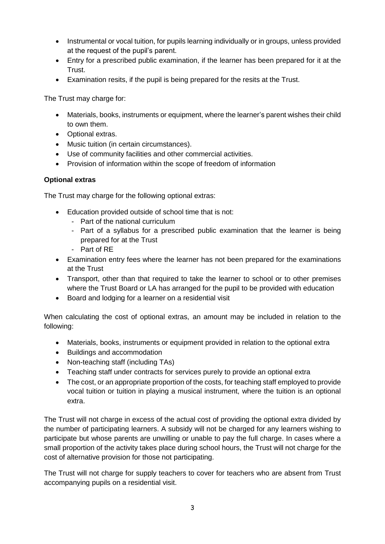- Instrumental or vocal tuition, for pupils learning individually or in groups, unless provided at the request of the pupil's parent.
- Entry for a prescribed public examination, if the learner has been prepared for it at the Trust.
- Examination resits, if the pupil is being prepared for the resits at the Trust.

The Trust may charge for:

- Materials, books, instruments or equipment, where the learner's parent wishes their child to own them.
- Optional extras.
- Music tuition (in certain circumstances).
- Use of community facilities and other commercial activities.
- Provision of information within the scope of freedom of information

# **Optional extras**

The Trust may charge for the following optional extras:

- Education provided outside of school time that is not:
	- Part of the national curriculum
	- Part of a syllabus for a prescribed public examination that the learner is being prepared for at the Trust
	- Part of RE
- Examination entry fees where the learner has not been prepared for the examinations at the Trust
- Transport, other than that required to take the learner to school or to other premises where the Trust Board or LA has arranged for the pupil to be provided with education
- Board and lodging for a learner on a residential visit

When calculating the cost of optional extras, an amount may be included in relation to the following:

- Materials, books, instruments or equipment provided in relation to the optional extra
- Buildings and accommodation
- Non-teaching staff (including TAs)
- Teaching staff under contracts for services purely to provide an optional extra
- The cost, or an appropriate proportion of the costs, for teaching staff employed to provide vocal tuition or tuition in playing a musical instrument, where the tuition is an optional extra.

The Trust will not charge in excess of the actual cost of providing the optional extra divided by the number of participating learners. A subsidy will not be charged for any learners wishing to participate but whose parents are unwilling or unable to pay the full charge. In cases where a small proportion of the activity takes place during school hours, the Trust will not charge for the cost of alternative provision for those not participating.

The Trust will not charge for supply teachers to cover for teachers who are absent from Trust accompanying pupils on a residential visit.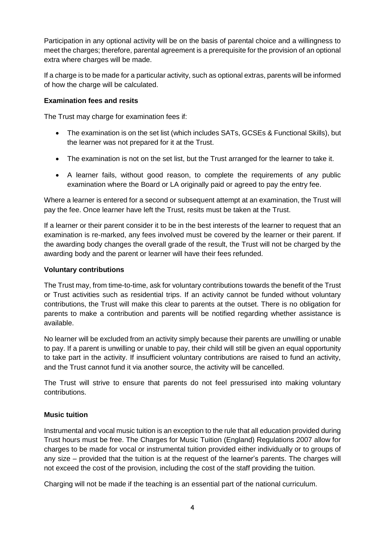Participation in any optional activity will be on the basis of parental choice and a willingness to meet the charges; therefore, parental agreement is a prerequisite for the provision of an optional extra where charges will be made.

If a charge is to be made for a particular activity, such as optional extras, parents will be informed of how the charge will be calculated.

### **Examination fees and resits**

The Trust may charge for examination fees if:

- The examination is on the set list (which includes SATs, GCSEs & Functional Skills), but the learner was not prepared for it at the Trust.
- The examination is not on the set list, but the Trust arranged for the learner to take it.
- A learner fails, without good reason, to complete the requirements of any public examination where the Board or LA originally paid or agreed to pay the entry fee.

Where a learner is entered for a second or subsequent attempt at an examination, the Trust will pay the fee. Once learner have left the Trust, resits must be taken at the Trust.

If a learner or their parent consider it to be in the best interests of the learner to request that an examination is re-marked, any fees involved must be covered by the learner or their parent. If the awarding body changes the overall grade of the result, the Trust will not be charged by the awarding body and the parent or learner will have their fees refunded.

### **Voluntary contributions**

The Trust may, from time-to-time, ask for voluntary contributions towards the benefit of the Trust or Trust activities such as residential trips. If an activity cannot be funded without voluntary contributions, the Trust will make this clear to parents at the outset. There is no obligation for parents to make a contribution and parents will be notified regarding whether assistance is available.

No learner will be excluded from an activity simply because their parents are unwilling or unable to pay. If a parent is unwilling or unable to pay, their child will still be given an equal opportunity to take part in the activity. If insufficient voluntary contributions are raised to fund an activity, and the Trust cannot fund it via another source, the activity will be cancelled.

The Trust will strive to ensure that parents do not feel pressurised into making voluntary contributions.

# **Music tuition**

Instrumental and vocal music tuition is an exception to the rule that all education provided during Trust hours must be free. The Charges for Music Tuition (England) Regulations 2007 allow for charges to be made for vocal or instrumental tuition provided either individually or to groups of any size – provided that the tuition is at the request of the learner's parents. The charges will not exceed the cost of the provision, including the cost of the staff providing the tuition.

Charging will not be made if the teaching is an essential part of the national curriculum.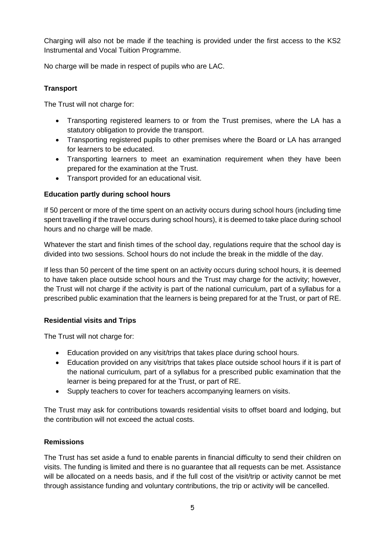Charging will also not be made if the teaching is provided under the first access to the KS2 Instrumental and Vocal Tuition Programme.

No charge will be made in respect of pupils who are LAC.

# **Transport**

The Trust will not charge for:

- Transporting registered learners to or from the Trust premises, where the LA has a statutory obligation to provide the transport.
- Transporting registered pupils to other premises where the Board or LA has arranged for learners to be educated.
- Transporting learners to meet an examination requirement when they have been prepared for the examination at the Trust.
- Transport provided for an educational visit.

# **Education partly during school hours**

If 50 percent or more of the time spent on an activity occurs during school hours (including time spent travelling if the travel occurs during school hours), it is deemed to take place during school hours and no charge will be made.

Whatever the start and finish times of the school day, regulations require that the school day is divided into two sessions. School hours do not include the break in the middle of the day.

If less than 50 percent of the time spent on an activity occurs during school hours, it is deemed to have taken place outside school hours and the Trust may charge for the activity; however, the Trust will not charge if the activity is part of the national curriculum, part of a syllabus for a prescribed public examination that the learners is being prepared for at the Trust, or part of RE.

# **Residential visits and Trips**

The Trust will not charge for:

- Education provided on any visit/trips that takes place during school hours.
- Education provided on any visit/trips that takes place outside school hours if it is part of the national curriculum, part of a syllabus for a prescribed public examination that the learner is being prepared for at the Trust, or part of RE.
- Supply teachers to cover for teachers accompanying learners on visits.

The Trust may ask for contributions towards residential visits to offset board and lodging, but the contribution will not exceed the actual costs.

# **Remissions**

The Trust has set aside a fund to enable parents in financial difficulty to send their children on visits. The funding is limited and there is no guarantee that all requests can be met. Assistance will be allocated on a needs basis, and if the full cost of the visit/trip or activity cannot be met through assistance funding and voluntary contributions, the trip or activity will be cancelled.